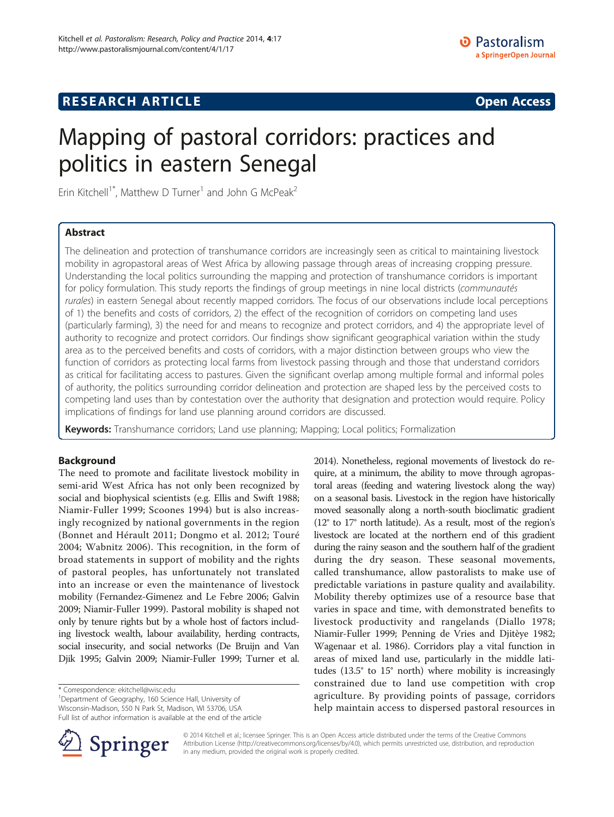## <span id="page-0-0"></span>**RESEARCH ARTICLE Example 2014 CONSIDERING CONSIDERING CONSIDERING CONSIDERING CONSIDERING CONSIDERING CONSIDERING CONSIDERING CONSIDERING CONSIDERING CONSIDERING CONSIDERING CONSIDERING CONSIDERING CONSIDERING CONSIDE**

# Mapping of pastoral corridors: practices and politics in eastern Senegal

Erin Kitchell<sup>1\*</sup>, Matthew D Turner<sup>1</sup> and John G McPeak<sup>2</sup>

## Abstract

The delineation and protection of transhumance corridors are increasingly seen as critical to maintaining livestock mobility in agropastoral areas of West Africa by allowing passage through areas of increasing cropping pressure. Understanding the local politics surrounding the mapping and protection of transhumance corridors is important for policy formulation. This study reports the findings of group meetings in nine local districts (communautés rurales) in eastern Senegal about recently mapped corridors. The focus of our observations include local perceptions of 1) the benefits and costs of corridors, 2) the effect of the recognition of corridors on competing land uses (particularly farming), 3) the need for and means to recognize and protect corridors, and 4) the appropriate level of authority to recognize and protect corridors. Our findings show significant geographical variation within the study area as to the perceived benefits and costs of corridors, with a major distinction between groups who view the function of corridors as protecting local farms from livestock passing through and those that understand corridors as critical for facilitating access to pastures. Given the significant overlap among multiple formal and informal poles of authority, the politics surrounding corridor delineation and protection are shaped less by the perceived costs to competing land uses than by contestation over the authority that designation and protection would require. Policy implications of findings for land use planning around corridors are discussed.

Keywords: Transhumance corridors; Land use planning; Mapping; Local politics; Formalization

## Background

The need to promote and facilitate livestock mobility in semi-arid West Africa has not only been recognized by social and biophysical scientists (e.g. Ellis and Swift [1988](#page-12-0); Niamir-Fuller [1999;](#page-13-0) Scoones [1994\)](#page-13-0) but is also increasingly recognized by national governments in the region (Bonnet and Hérault [2011;](#page-12-0) Dongmo et al. [2012](#page-12-0); Touré [2004](#page-13-0); Wabnitz [2006](#page-13-0)). This recognition, in the form of broad statements in support of mobility and the rights of pastoral peoples, has unfortunately not translated into an increase or even the maintenance of livestock mobility (Fernandez-Gimenez and Le Febre [2006;](#page-12-0) Galvin [2009;](#page-12-0) Niamir-Fuller [1999](#page-13-0)). Pastoral mobility is shaped not only by tenure rights but by a whole host of factors including livestock wealth, labour availability, herding contracts, social insecurity, and social networks (De Bruijn and Van Djik [1995;](#page-12-0) Galvin [2009](#page-12-0); Niamir-Fuller [1999](#page-13-0); Turner et al.

Springer

Full list of author information is available at the end of the article



© 2014 Kitchell et al.; licensee Springer. This is an Open Access article distributed under the terms of the Creative Commons Attribution License [\(http://creativecommons.org/licenses/by/4.0\)](http://creativecommons.org/licenses/by/4.0), which permits unrestricted use, distribution, and reproduction in any medium, provided the original work is properly credited.

<sup>\*</sup> Correspondence: [ekitchell@wisc.edu](mailto:ekitchell@wisc.edu) <sup>1</sup>

<sup>&</sup>lt;sup>1</sup>Department of Geography, 160 Science Hall, University of

Wisconsin-Madison, 550 N Park St, Madison, WI 53706, USA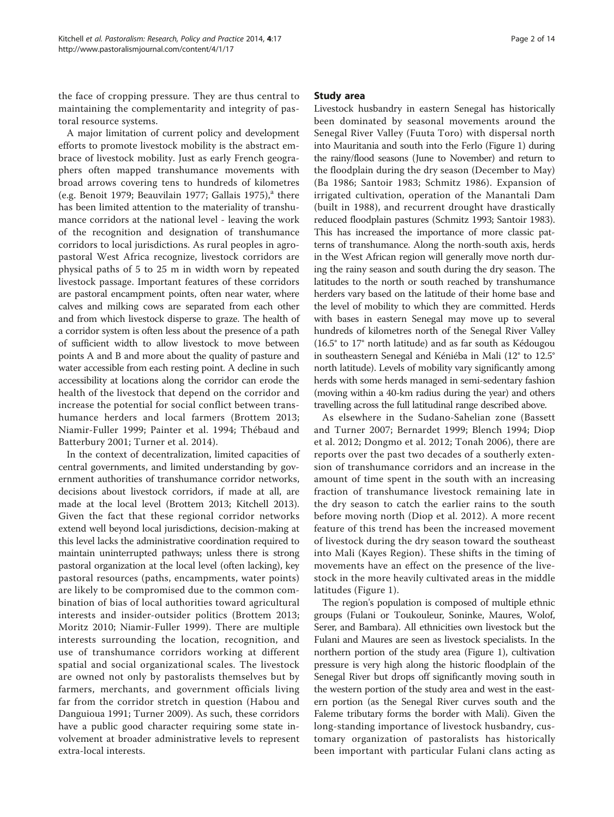the face of cropping pressure. They are thus central to maintaining the complementarity and integrity of pastoral resource systems.

A major limitation of current policy and development efforts to promote livestock mobility is the abstract embrace of livestock mobility. Just as early French geographers often mapped transhumance movements with broad arrows covering tens to hundreds of kilometres (e.g. Benoit [1979;](#page-12-0) Beauvilain [1977;](#page-12-0) Gallais [1975\)](#page-12-0), $^{\circ}$  there has been limited attention to the materiality of transhumance corridors at the national level - leaving the work of the recognition and designation of transhumance corridors to local jurisdictions. As rural peoples in agropastoral West Africa recognize, livestock corridors are physical paths of 5 to 25 m in width worn by repeated livestock passage. Important features of these corridors are pastoral encampment points, often near water, where calves and milking cows are separated from each other and from which livestock disperse to graze. The health of a corridor system is often less about the presence of a path of sufficient width to allow livestock to move between points A and B and more about the quality of pasture and water accessible from each resting point. A decline in such accessibility at locations along the corridor can erode the health of the livestock that depend on the corridor and increase the potential for social conflict between transhumance herders and local farmers (Brottem [2013](#page-12-0); Niamir-Fuller [1999;](#page-13-0) Painter et al. [1994;](#page-13-0) Thébaud and Batterbury [2001;](#page-13-0) Turner et al. [2014](#page-13-0)).

In the context of decentralization, limited capacities of central governments, and limited understanding by government authorities of transhumance corridor networks, decisions about livestock corridors, if made at all, are made at the local level (Brottem [2013](#page-12-0); Kitchell [2013](#page-12-0)). Given the fact that these regional corridor networks extend well beyond local jurisdictions, decision-making at this level lacks the administrative coordination required to maintain uninterrupted pathways; unless there is strong pastoral organization at the local level (often lacking), key pastoral resources (paths, encampments, water points) are likely to be compromised due to the common combination of bias of local authorities toward agricultural interests and insider-outsider politics (Brottem [2013](#page-12-0); Moritz [2010](#page-13-0); Niamir-Fuller [1999](#page-13-0)). There are multiple interests surrounding the location, recognition, and use of transhumance corridors working at different spatial and social organizational scales. The livestock are owned not only by pastoralists themselves but by farmers, merchants, and government officials living far from the corridor stretch in question (Habou and Danguioua [1991;](#page-12-0) Turner [2009\)](#page-13-0). As such, these corridors have a public good character requiring some state involvement at broader administrative levels to represent extra-local interests.

#### Study area

Livestock husbandry in eastern Senegal has historically been dominated by seasonal movements around the Senegal River Valley (Fuuta Toro) with dispersal north into Mauritania and south into the Ferlo (Figure [1](#page-2-0)) during the rainy/flood seasons (June to November) and return to the floodplain during the dry season (December to May) (Ba [1986;](#page-12-0) Santoir [1983;](#page-13-0) Schmitz [1986\)](#page-13-0). Expansion of irrigated cultivation, operation of the Manantali Dam (built in 1988), and recurrent drought have drastically reduced floodplain pastures (Schmitz [1993](#page-13-0); Santoir [1983](#page-13-0)). This has increased the importance of more classic patterns of transhumance. Along the north-south axis, herds in the West African region will generally move north during the rainy season and south during the dry season. The latitudes to the north or south reached by transhumance herders vary based on the latitude of their home base and the level of mobility to which they are committed. Herds with bases in eastern Senegal may move up to several hundreds of kilometres north of the Senegal River Valley (16.5° to 17° north latitude) and as far south as Kédougou in southeastern Senegal and Kéniéba in Mali (12° to 12.5° north latitude). Levels of mobility vary significantly among herds with some herds managed in semi-sedentary fashion (moving within a 40-km radius during the year) and others travelling across the full latitudinal range described above.

As elsewhere in the Sudano-Sahelian zone (Bassett and Turner [2007;](#page-12-0) Bernardet [1999;](#page-12-0) Blench [1994;](#page-12-0) Diop et al. [2012](#page-12-0); Dongmo et al. [2012;](#page-12-0) Tonah [2006\)](#page-13-0), there are reports over the past two decades of a southerly extension of transhumance corridors and an increase in the amount of time spent in the south with an increasing fraction of transhumance livestock remaining late in the dry season to catch the earlier rains to the south before moving north (Diop et al. [2012\)](#page-12-0). A more recent feature of this trend has been the increased movement of livestock during the dry season toward the southeast into Mali (Kayes Region). These shifts in the timing of movements have an effect on the presence of the livestock in the more heavily cultivated areas in the middle latitudes (Figure [1\)](#page-2-0).

The region's population is composed of multiple ethnic groups (Fulani or Toukouleur, Soninke, Maures, Wolof, Serer, and Bambara). All ethnicities own livestock but the Fulani and Maures are seen as livestock specialists. In the northern portion of the study area (Figure [1](#page-2-0)), cultivation pressure is very high along the historic floodplain of the Senegal River but drops off significantly moving south in the western portion of the study area and west in the eastern portion (as the Senegal River curves south and the Faleme tributary forms the border with Mali). Given the long-standing importance of livestock husbandry, customary organization of pastoralists has historically been important with particular Fulani clans acting as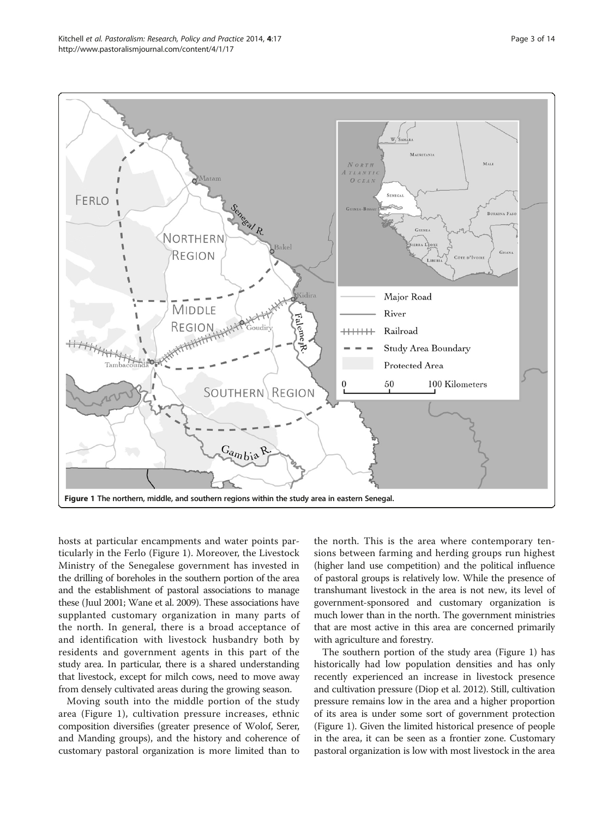<span id="page-2-0"></span>

hosts at particular encampments and water points particularly in the Ferlo (Figure 1). Moreover, the Livestock Ministry of the Senegalese government has invested in the drilling of boreholes in the southern portion of the area and the establishment of pastoral associations to manage these (Juul [2001;](#page-12-0) Wane et al. [2009](#page-13-0)). These associations have supplanted customary organization in many parts of the north. In general, there is a broad acceptance of and identification with livestock husbandry both by residents and government agents in this part of the study area. In particular, there is a shared understanding that livestock, except for milch cows, need to move away from densely cultivated areas during the growing season.

Moving south into the middle portion of the study area (Figure 1), cultivation pressure increases, ethnic composition diversifies (greater presence of Wolof, Serer, and Manding groups), and the history and coherence of customary pastoral organization is more limited than to

the north. This is the area where contemporary tensions between farming and herding groups run highest (higher land use competition) and the political influence of pastoral groups is relatively low. While the presence of transhumant livestock in the area is not new, its level of government-sponsored and customary organization is much lower than in the north. The government ministries that are most active in this area are concerned primarily with agriculture and forestry.

The southern portion of the study area (Figure 1) has historically had low population densities and has only recently experienced an increase in livestock presence and cultivation pressure (Diop et al. [2012\)](#page-12-0). Still, cultivation pressure remains low in the area and a higher proportion of its area is under some sort of government protection (Figure 1). Given the limited historical presence of people in the area, it can be seen as a frontier zone. Customary pastoral organization is low with most livestock in the area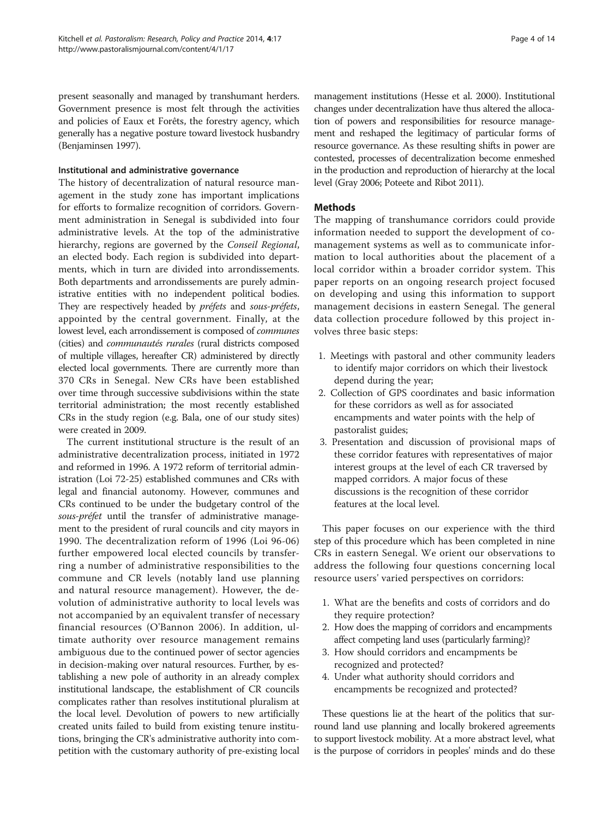present seasonally and managed by transhumant herders. Government presence is most felt through the activities and policies of Eaux et Forêts, the forestry agency, which generally has a negative posture toward livestock husbandry (Benjaminsen [1997](#page-12-0)).

## Institutional and administrative governance

The history of decentralization of natural resource management in the study zone has important implications for efforts to formalize recognition of corridors. Government administration in Senegal is subdivided into four administrative levels. At the top of the administrative hierarchy, regions are governed by the *Conseil Regional*, an elected body. Each region is subdivided into departments, which in turn are divided into arrondissements. Both departments and arrondissements are purely administrative entities with no independent political bodies. They are respectively headed by préfets and sous-préfets, appointed by the central government. Finally, at the lowest level, each arrondissement is composed of communes (cities) and communautés rurales (rural districts composed of multiple villages, hereafter CR) administered by directly elected local governments. There are currently more than 370 CRs in Senegal. New CRs have been established over time through successive subdivisions within the state territorial administration; the most recently established CRs in the study region (e.g. Bala, one of our study sites) were created in 2009.

The current institutional structure is the result of an administrative decentralization process, initiated in 1972 and reformed in 1996. A 1972 reform of territorial administration (Loi 72-25) established communes and CRs with legal and financial autonomy. However, communes and CRs continued to be under the budgetary control of the sous-préfet until the transfer of administrative management to the president of rural councils and city mayors in 1990. The decentralization reform of 1996 (Loi 96-06) further empowered local elected councils by transferring a number of administrative responsibilities to the commune and CR levels (notably land use planning and natural resource management). However, the devolution of administrative authority to local levels was not accompanied by an equivalent transfer of necessary financial resources (O'Bannon [2006](#page-13-0)). In addition, ultimate authority over resource management remains ambiguous due to the continued power of sector agencies in decision-making over natural resources. Further, by establishing a new pole of authority in an already complex institutional landscape, the establishment of CR councils complicates rather than resolves institutional pluralism at the local level. Devolution of powers to new artificially created units failed to build from existing tenure institutions, bringing the CR's administrative authority into competition with the customary authority of pre-existing local

management institutions (Hesse et al. [2000](#page-12-0)). Institutional changes under decentralization have thus altered the allocation of powers and responsibilities for resource management and reshaped the legitimacy of particular forms of resource governance. As these resulting shifts in power are contested, processes of decentralization become enmeshed in the production and reproduction of hierarchy at the local level (Gray [2006](#page-12-0); Poteete and Ribot [2011](#page-13-0)).

## Methods

The mapping of transhumance corridors could provide information needed to support the development of comanagement systems as well as to communicate information to local authorities about the placement of a local corridor within a broader corridor system. This paper reports on an ongoing research project focused on developing and using this information to support management decisions in eastern Senegal. The general data collection procedure followed by this project involves three basic steps:

- 1. Meetings with pastoral and other community leaders to identify major corridors on which their livestock depend during the year;
- 2. Collection of GPS coordinates and basic information for these corridors as well as for associated encampments and water points with the help of pastoralist guides;
- 3. Presentation and discussion of provisional maps of these corridor features with representatives of major interest groups at the level of each CR traversed by mapped corridors. A major focus of these discussions is the recognition of these corridor features at the local level.

This paper focuses on our experience with the third step of this procedure which has been completed in nine CRs in eastern Senegal. We orient our observations to address the following four questions concerning local resource users' varied perspectives on corridors:

- 1. What are the benefits and costs of corridors and do they require protection?
- 2. How does the mapping of corridors and encampments affect competing land uses (particularly farming)?
- 3. How should corridors and encampments be recognized and protected?
- 4. Under what authority should corridors and encampments be recognized and protected?

These questions lie at the heart of the politics that surround land use planning and locally brokered agreements to support livestock mobility. At a more abstract level, what is the purpose of corridors in peoples' minds and do these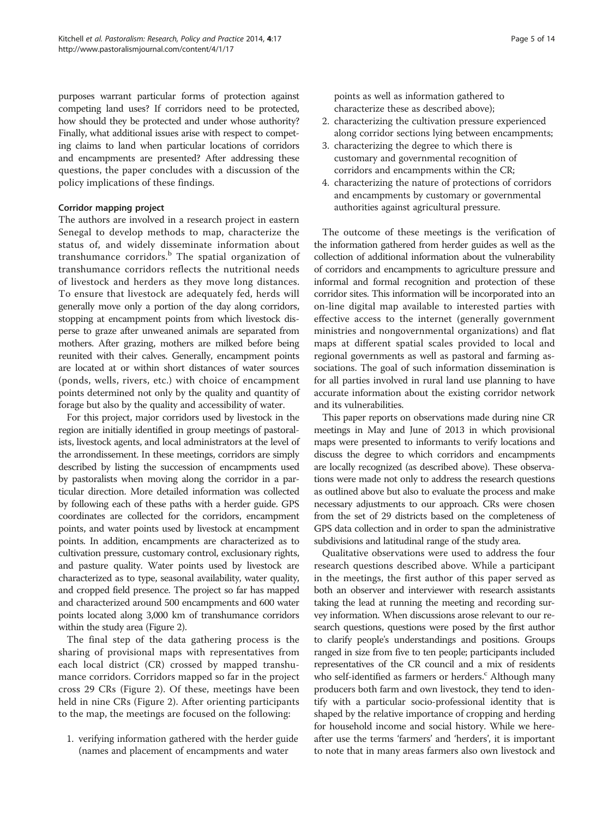purposes warrant particular forms of protection against competing land uses? If corridors need to be protected, how should they be protected and under whose authority? Finally, what additional issues arise with respect to competing claims to land when particular locations of corridors and encampments are presented? After addressing these questions, the paper concludes with a discussion of the policy implications of these findings.

## Corridor mapping project

The authors are involved in a research project in eastern Senegal to develop methods to map, characterize the status of, and widely disseminate information about transhumance corridors. $b$  The spatial organization of transhumance corridors reflects the nutritional needs of livestock and herders as they move long distances. To ensure that livestock are adequately fed, herds will generally move only a portion of the day along corridors, stopping at encampment points from which livestock disperse to graze after unweaned animals are separated from mothers. After grazing, mothers are milked before being reunited with their calves. Generally, encampment points are located at or within short distances of water sources (ponds, wells, rivers, etc.) with choice of encampment points determined not only by the quality and quantity of forage but also by the quality and accessibility of water.

For this project, major corridors used by livestock in the region are initially identified in group meetings of pastoralists, livestock agents, and local administrators at the level of the arrondissement. In these meetings, corridors are simply described by listing the succession of encampments used by pastoralists when moving along the corridor in a particular direction. More detailed information was collected by following each of these paths with a herder guide. GPS coordinates are collected for the corridors, encampment points, and water points used by livestock at encampment points. In addition, encampments are characterized as to cultivation pressure, customary control, exclusionary rights, and pasture quality. Water points used by livestock are characterized as to type, seasonal availability, water quality, and cropped field presence. The project so far has mapped and characterized around 500 encampments and 600 water points located along 3,000 km of transhumance corridors within the study area (Figure [2](#page-5-0)).

The final step of the data gathering process is the sharing of provisional maps with representatives from each local district (CR) crossed by mapped transhumance corridors. Corridors mapped so far in the project cross 29 CRs (Figure [2](#page-5-0)). Of these, meetings have been held in nine CRs (Figure [2\)](#page-5-0). After orienting participants to the map, the meetings are focused on the following:

1. verifying information gathered with the herder guide (names and placement of encampments and water

points as well as information gathered to characterize these as described above);

- 2. characterizing the cultivation pressure experienced along corridor sections lying between encampments;
- 3. characterizing the degree to which there is customary and governmental recognition of corridors and encampments within the CR;
- 4. characterizing the nature of protections of corridors and encampments by customary or governmental authorities against agricultural pressure.

The outcome of these meetings is the verification of the information gathered from herder guides as well as the collection of additional information about the vulnerability of corridors and encampments to agriculture pressure and informal and formal recognition and protection of these corridor sites. This information will be incorporated into an on-line digital map available to interested parties with effective access to the internet (generally government ministries and nongovernmental organizations) and flat maps at different spatial scales provided to local and regional governments as well as pastoral and farming associations. The goal of such information dissemination is for all parties involved in rural land use planning to have accurate information about the existing corridor network and its vulnerabilities.

This paper reports on observations made during nine CR meetings in May and June of 2013 in which provisional maps were presented to informants to verify locations and discuss the degree to which corridors and encampments are locally recognized (as described above). These observations were made not only to address the research questions as outlined above but also to evaluate the process and make necessary adjustments to our approach. CRs were chosen from the set of 29 districts based on the completeness of GPS data collection and in order to span the administrative subdivisions and latitudinal range of the study area.

Qualitative observations were used to address the four research questions described above. While a participant in the meetings, the first author of this paper served as both an observer and interviewer with research assistants taking the lead at running the meeting and recording survey information. When discussions arose relevant to our research questions, questions were posed by the first author to clarify people's understandings and positions. Groups ranged in size from five to ten people; participants included representatives of the CR council and a mix of residents who self-identified as farmers or herders.<sup>c</sup> Although many producers both farm and own livestock, they tend to identify with a particular socio-professional identity that is shaped by the relative importance of cropping and herding for household income and social history. While we hereafter use the terms 'farmers' and 'herders', it is important to note that in many areas farmers also own livestock and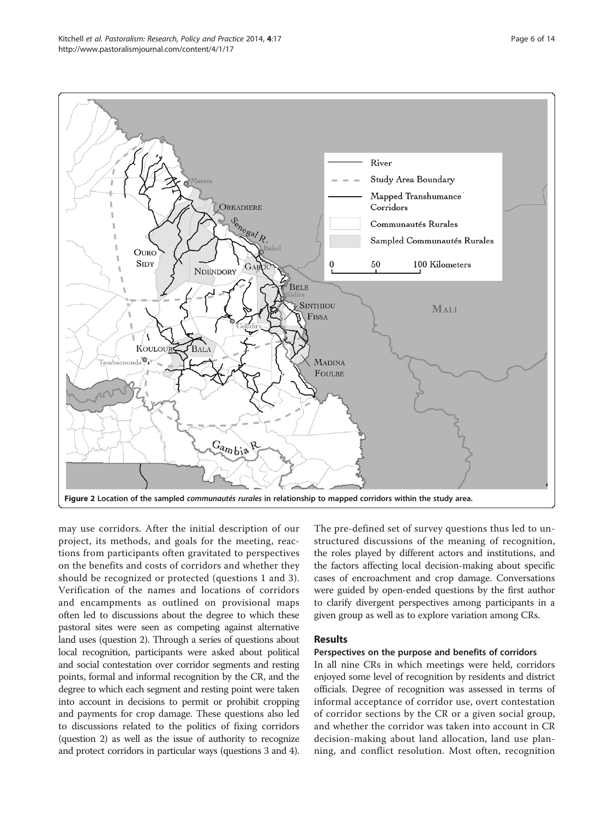<span id="page-5-0"></span>

may use corridors. After the initial description of our project, its methods, and goals for the meeting, reactions from participants often gravitated to perspectives on the benefits and costs of corridors and whether they should be recognized or protected (questions 1 and 3). Verification of the names and locations of corridors and encampments as outlined on provisional maps often led to discussions about the degree to which these pastoral sites were seen as competing against alternative land uses (question 2). Through a series of questions about local recognition, participants were asked about political and social contestation over corridor segments and resting points, formal and informal recognition by the CR, and the degree to which each segment and resting point were taken into account in decisions to permit or prohibit cropping and payments for crop damage. These questions also led to discussions related to the politics of fixing corridors (question 2) as well as the issue of authority to recognize and protect corridors in particular ways (questions 3 and 4).

The pre-defined set of survey questions thus led to unstructured discussions of the meaning of recognition, the roles played by different actors and institutions, and the factors affecting local decision-making about specific cases of encroachment and crop damage. Conversations were guided by open-ended questions by the first author to clarify divergent perspectives among participants in a given group as well as to explore variation among CRs.

## Results

#### Perspectives on the purpose and benefits of corridors

In all nine CRs in which meetings were held, corridors enjoyed some level of recognition by residents and district officials. Degree of recognition was assessed in terms of informal acceptance of corridor use, overt contestation of corridor sections by the CR or a given social group, and whether the corridor was taken into account in CR decision-making about land allocation, land use planning, and conflict resolution. Most often, recognition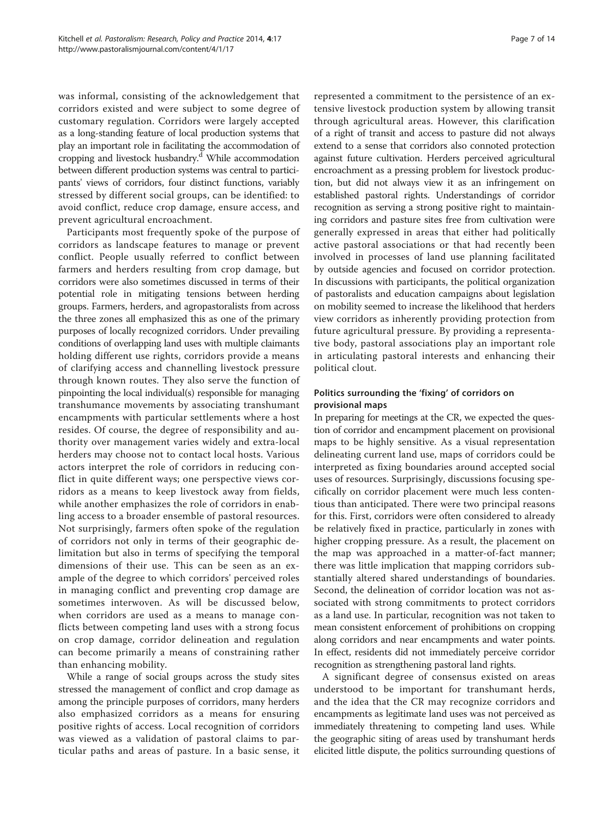was informal, consisting of the acknowledgement that corridors existed and were subject to some degree of customary regulation. Corridors were largely accepted as a long-standing feature of local production systems that play an important role in facilitating the accommodation of cropping and livestock husbandry. $\text{d}$  While accommodation between different production systems was central to participants' views of corridors, four distinct functions, variably stressed by different social groups, can be identified: to avoid conflict, reduce crop damage, ensure access, and prevent agricultural encroachment.

Participants most frequently spoke of the purpose of corridors as landscape features to manage or prevent conflict. People usually referred to conflict between farmers and herders resulting from crop damage, but corridors were also sometimes discussed in terms of their potential role in mitigating tensions between herding groups. Farmers, herders, and agropastoralists from across the three zones all emphasized this as one of the primary purposes of locally recognized corridors. Under prevailing conditions of overlapping land uses with multiple claimants holding different use rights, corridors provide a means of clarifying access and channelling livestock pressure through known routes. They also serve the function of pinpointing the local individual(s) responsible for managing transhumance movements by associating transhumant encampments with particular settlements where a host resides. Of course, the degree of responsibility and authority over management varies widely and extra-local herders may choose not to contact local hosts. Various actors interpret the role of corridors in reducing conflict in quite different ways; one perspective views corridors as a means to keep livestock away from fields, while another emphasizes the role of corridors in enabling access to a broader ensemble of pastoral resources. Not surprisingly, farmers often spoke of the regulation of corridors not only in terms of their geographic delimitation but also in terms of specifying the temporal dimensions of their use. This can be seen as an example of the degree to which corridors' perceived roles in managing conflict and preventing crop damage are sometimes interwoven. As will be discussed below, when corridors are used as a means to manage conflicts between competing land uses with a strong focus on crop damage, corridor delineation and regulation can become primarily a means of constraining rather than enhancing mobility.

While a range of social groups across the study sites stressed the management of conflict and crop damage as among the principle purposes of corridors, many herders also emphasized corridors as a means for ensuring positive rights of access. Local recognition of corridors was viewed as a validation of pastoral claims to particular paths and areas of pasture. In a basic sense, it

represented a commitment to the persistence of an extensive livestock production system by allowing transit through agricultural areas. However, this clarification of a right of transit and access to pasture did not always extend to a sense that corridors also connoted protection against future cultivation. Herders perceived agricultural encroachment as a pressing problem for livestock production, but did not always view it as an infringement on established pastoral rights. Understandings of corridor recognition as serving a strong positive right to maintaining corridors and pasture sites free from cultivation were generally expressed in areas that either had politically active pastoral associations or that had recently been involved in processes of land use planning facilitated by outside agencies and focused on corridor protection. In discussions with participants, the political organization of pastoralists and education campaigns about legislation on mobility seemed to increase the likelihood that herders view corridors as inherently providing protection from future agricultural pressure. By providing a representative body, pastoral associations play an important role in articulating pastoral interests and enhancing their political clout.

## Politics surrounding the 'fixing' of corridors on provisional maps

In preparing for meetings at the CR, we expected the question of corridor and encampment placement on provisional maps to be highly sensitive. As a visual representation delineating current land use, maps of corridors could be interpreted as fixing boundaries around accepted social uses of resources. Surprisingly, discussions focusing specifically on corridor placement were much less contentious than anticipated. There were two principal reasons for this. First, corridors were often considered to already be relatively fixed in practice, particularly in zones with higher cropping pressure. As a result, the placement on the map was approached in a matter-of-fact manner; there was little implication that mapping corridors substantially altered shared understandings of boundaries. Second, the delineation of corridor location was not associated with strong commitments to protect corridors as a land use. In particular, recognition was not taken to mean consistent enforcement of prohibitions on cropping along corridors and near encampments and water points. In effect, residents did not immediately perceive corridor recognition as strengthening pastoral land rights.

A significant degree of consensus existed on areas understood to be important for transhumant herds, and the idea that the CR may recognize corridors and encampments as legitimate land uses was not perceived as immediately threatening to competing land uses. While the geographic siting of areas used by transhumant herds elicited little dispute, the politics surrounding questions of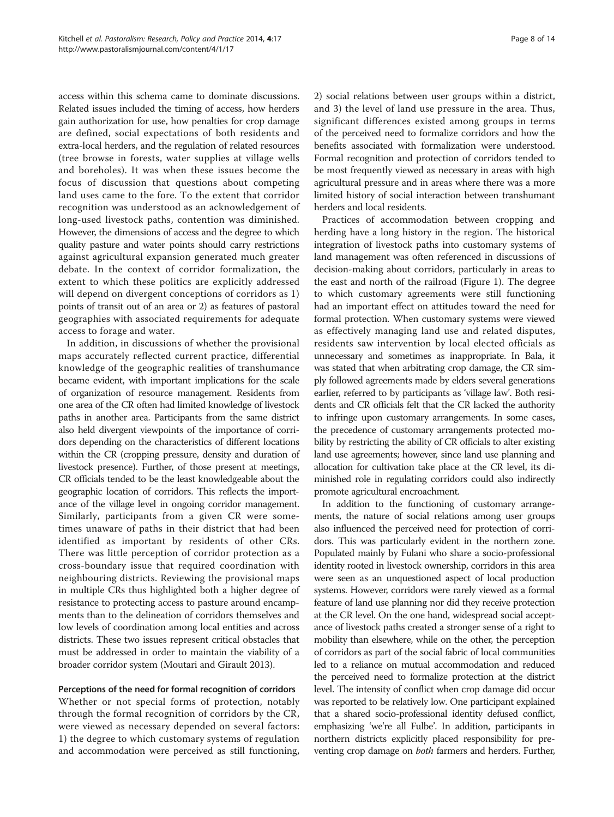access within this schema came to dominate discussions. Related issues included the timing of access, how herders gain authorization for use, how penalties for crop damage are defined, social expectations of both residents and extra-local herders, and the regulation of related resources (tree browse in forests, water supplies at village wells and boreholes). It was when these issues become the focus of discussion that questions about competing land uses came to the fore. To the extent that corridor recognition was understood as an acknowledgement of long-used livestock paths, contention was diminished. However, the dimensions of access and the degree to which quality pasture and water points should carry restrictions against agricultural expansion generated much greater debate. In the context of corridor formalization, the extent to which these politics are explicitly addressed will depend on divergent conceptions of corridors as 1) points of transit out of an area or 2) as features of pastoral geographies with associated requirements for adequate access to forage and water.

In addition, in discussions of whether the provisional maps accurately reflected current practice, differential knowledge of the geographic realities of transhumance became evident, with important implications for the scale of organization of resource management. Residents from one area of the CR often had limited knowledge of livestock paths in another area. Participants from the same district also held divergent viewpoints of the importance of corridors depending on the characteristics of different locations within the CR (cropping pressure, density and duration of livestock presence). Further, of those present at meetings, CR officials tended to be the least knowledgeable about the geographic location of corridors. This reflects the importance of the village level in ongoing corridor management. Similarly, participants from a given CR were sometimes unaware of paths in their district that had been identified as important by residents of other CRs. There was little perception of corridor protection as a cross-boundary issue that required coordination with neighbouring districts. Reviewing the provisional maps in multiple CRs thus highlighted both a higher degree of resistance to protecting access to pasture around encampments than to the delineation of corridors themselves and low levels of coordination among local entities and across districts. These two issues represent critical obstacles that must be addressed in order to maintain the viability of a broader corridor system (Moutari and Girault [2013\)](#page-13-0).

## Perceptions of the need for formal recognition of corridors

Whether or not special forms of protection, notably through the formal recognition of corridors by the CR, were viewed as necessary depended on several factors: 1) the degree to which customary systems of regulation and accommodation were perceived as still functioning,

2) social relations between user groups within a district, and 3) the level of land use pressure in the area. Thus, significant differences existed among groups in terms of the perceived need to formalize corridors and how the benefits associated with formalization were understood. Formal recognition and protection of corridors tended to be most frequently viewed as necessary in areas with high agricultural pressure and in areas where there was a more limited history of social interaction between transhumant herders and local residents.

Practices of accommodation between cropping and herding have a long history in the region. The historical integration of livestock paths into customary systems of land management was often referenced in discussions of decision-making about corridors, particularly in areas to the east and north of the railroad (Figure [1\)](#page-2-0). The degree to which customary agreements were still functioning had an important effect on attitudes toward the need for formal protection. When customary systems were viewed as effectively managing land use and related disputes, residents saw intervention by local elected officials as unnecessary and sometimes as inappropriate. In Bala, it was stated that when arbitrating crop damage, the CR simply followed agreements made by elders several generations earlier, referred to by participants as 'village law'. Both residents and CR officials felt that the CR lacked the authority to infringe upon customary arrangements. In some cases, the precedence of customary arrangements protected mobility by restricting the ability of CR officials to alter existing land use agreements; however, since land use planning and allocation for cultivation take place at the CR level, its diminished role in regulating corridors could also indirectly promote agricultural encroachment.

In addition to the functioning of customary arrangements, the nature of social relations among user groups also influenced the perceived need for protection of corridors. This was particularly evident in the northern zone. Populated mainly by Fulani who share a socio-professional identity rooted in livestock ownership, corridors in this area were seen as an unquestioned aspect of local production systems. However, corridors were rarely viewed as a formal feature of land use planning nor did they receive protection at the CR level. On the one hand, widespread social acceptance of livestock paths created a stronger sense of a right to mobility than elsewhere, while on the other, the perception of corridors as part of the social fabric of local communities led to a reliance on mutual accommodation and reduced the perceived need to formalize protection at the district level. The intensity of conflict when crop damage did occur was reported to be relatively low. One participant explained that a shared socio-professional identity defused conflict, emphasizing 'we're all Fulbe'. In addition, participants in northern districts explicitly placed responsibility for preventing crop damage on both farmers and herders. Further,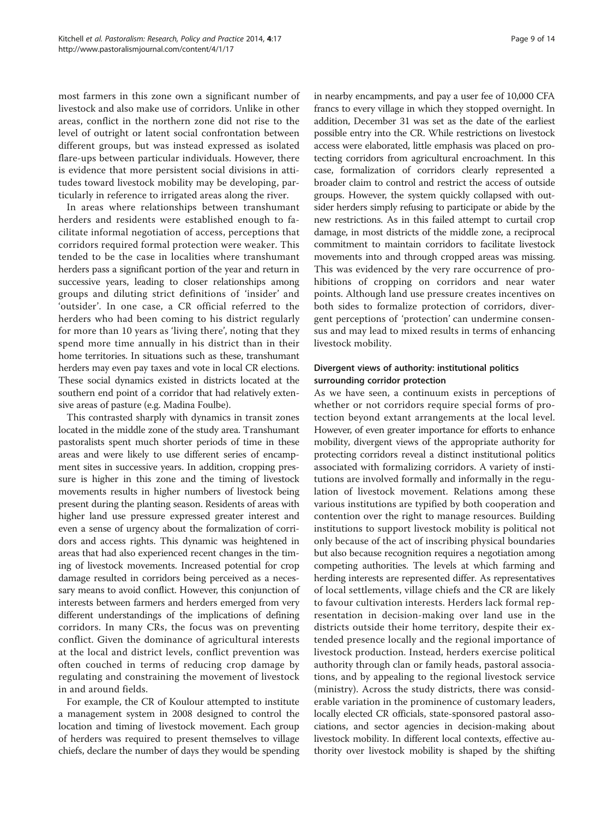most farmers in this zone own a significant number of livestock and also make use of corridors. Unlike in other areas, conflict in the northern zone did not rise to the level of outright or latent social confrontation between different groups, but was instead expressed as isolated flare-ups between particular individuals. However, there is evidence that more persistent social divisions in attitudes toward livestock mobility may be developing, particularly in reference to irrigated areas along the river.

In areas where relationships between transhumant herders and residents were established enough to facilitate informal negotiation of access, perceptions that corridors required formal protection were weaker. This tended to be the case in localities where transhumant herders pass a significant portion of the year and return in successive years, leading to closer relationships among groups and diluting strict definitions of 'insider' and 'outsider'. In one case, a CR official referred to the herders who had been coming to his district regularly for more than 10 years as 'living there', noting that they spend more time annually in his district than in their home territories. In situations such as these, transhumant herders may even pay taxes and vote in local CR elections. These social dynamics existed in districts located at the southern end point of a corridor that had relatively extensive areas of pasture (e.g. Madina Foulbe).

This contrasted sharply with dynamics in transit zones located in the middle zone of the study area. Transhumant pastoralists spent much shorter periods of time in these areas and were likely to use different series of encampment sites in successive years. In addition, cropping pressure is higher in this zone and the timing of livestock movements results in higher numbers of livestock being present during the planting season. Residents of areas with higher land use pressure expressed greater interest and even a sense of urgency about the formalization of corridors and access rights. This dynamic was heightened in areas that had also experienced recent changes in the timing of livestock movements. Increased potential for crop damage resulted in corridors being perceived as a necessary means to avoid conflict. However, this conjunction of interests between farmers and herders emerged from very different understandings of the implications of defining corridors. In many CRs, the focus was on preventing conflict. Given the dominance of agricultural interests at the local and district levels, conflict prevention was often couched in terms of reducing crop damage by regulating and constraining the movement of livestock in and around fields.

For example, the CR of Koulour attempted to institute a management system in 2008 designed to control the location and timing of livestock movement. Each group of herders was required to present themselves to village chiefs, declare the number of days they would be spending in nearby encampments, and pay a user fee of 10,000 CFA francs to every village in which they stopped overnight. In addition, December 31 was set as the date of the earliest possible entry into the CR. While restrictions on livestock access were elaborated, little emphasis was placed on protecting corridors from agricultural encroachment. In this case, formalization of corridors clearly represented a broader claim to control and restrict the access of outside groups. However, the system quickly collapsed with outsider herders simply refusing to participate or abide by the new restrictions. As in this failed attempt to curtail crop damage, in most districts of the middle zone, a reciprocal commitment to maintain corridors to facilitate livestock movements into and through cropped areas was missing. This was evidenced by the very rare occurrence of prohibitions of cropping on corridors and near water points. Although land use pressure creates incentives on both sides to formalize protection of corridors, divergent perceptions of 'protection' can undermine consensus and may lead to mixed results in terms of enhancing livestock mobility.

## Divergent views of authority: institutional politics surrounding corridor protection

As we have seen, a continuum exists in perceptions of whether or not corridors require special forms of protection beyond extant arrangements at the local level. However, of even greater importance for efforts to enhance mobility, divergent views of the appropriate authority for protecting corridors reveal a distinct institutional politics associated with formalizing corridors. A variety of institutions are involved formally and informally in the regulation of livestock movement. Relations among these various institutions are typified by both cooperation and contention over the right to manage resources. Building institutions to support livestock mobility is political not only because of the act of inscribing physical boundaries but also because recognition requires a negotiation among competing authorities. The levels at which farming and herding interests are represented differ. As representatives of local settlements, village chiefs and the CR are likely to favour cultivation interests. Herders lack formal representation in decision-making over land use in the districts outside their home territory, despite their extended presence locally and the regional importance of livestock production. Instead, herders exercise political authority through clan or family heads, pastoral associations, and by appealing to the regional livestock service (ministry). Across the study districts, there was considerable variation in the prominence of customary leaders, locally elected CR officials, state-sponsored pastoral associations, and sector agencies in decision-making about livestock mobility. In different local contexts, effective authority over livestock mobility is shaped by the shifting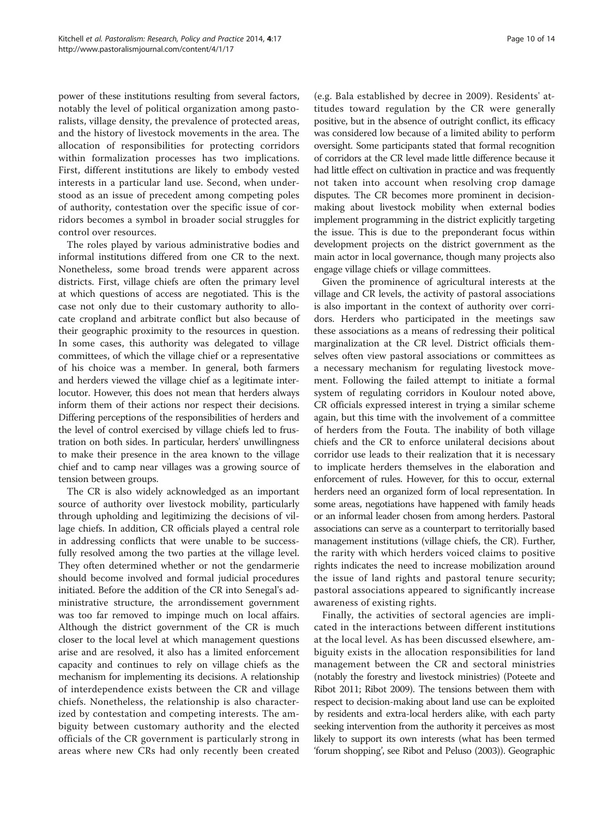power of these institutions resulting from several factors, notably the level of political organization among pastoralists, village density, the prevalence of protected areas, and the history of livestock movements in the area. The allocation of responsibilities for protecting corridors within formalization processes has two implications. First, different institutions are likely to embody vested interests in a particular land use. Second, when understood as an issue of precedent among competing poles of authority, contestation over the specific issue of corridors becomes a symbol in broader social struggles for control over resources.

The roles played by various administrative bodies and informal institutions differed from one CR to the next. Nonetheless, some broad trends were apparent across districts. First, village chiefs are often the primary level at which questions of access are negotiated. This is the case not only due to their customary authority to allocate cropland and arbitrate conflict but also because of their geographic proximity to the resources in question. In some cases, this authority was delegated to village committees, of which the village chief or a representative of his choice was a member. In general, both farmers and herders viewed the village chief as a legitimate interlocutor. However, this does not mean that herders always inform them of their actions nor respect their decisions. Differing perceptions of the responsibilities of herders and the level of control exercised by village chiefs led to frustration on both sides. In particular, herders' unwillingness to make their presence in the area known to the village chief and to camp near villages was a growing source of tension between groups.

The CR is also widely acknowledged as an important source of authority over livestock mobility, particularly through upholding and legitimizing the decisions of village chiefs. In addition, CR officials played a central role in addressing conflicts that were unable to be successfully resolved among the two parties at the village level. They often determined whether or not the gendarmerie should become involved and formal judicial procedures initiated. Before the addition of the CR into Senegal's administrative structure, the arrondissement government was too far removed to impinge much on local affairs. Although the district government of the CR is much closer to the local level at which management questions arise and are resolved, it also has a limited enforcement capacity and continues to rely on village chiefs as the mechanism for implementing its decisions. A relationship of interdependence exists between the CR and village chiefs. Nonetheless, the relationship is also characterized by contestation and competing interests. The ambiguity between customary authority and the elected officials of the CR government is particularly strong in areas where new CRs had only recently been created

(e.g. Bala established by decree in 2009). Residents' attitudes toward regulation by the CR were generally positive, but in the absence of outright conflict, its efficacy was considered low because of a limited ability to perform oversight. Some participants stated that formal recognition of corridors at the CR level made little difference because it had little effect on cultivation in practice and was frequently not taken into account when resolving crop damage disputes. The CR becomes more prominent in decisionmaking about livestock mobility when external bodies implement programming in the district explicitly targeting the issue. This is due to the preponderant focus within development projects on the district government as the main actor in local governance, though many projects also engage village chiefs or village committees.

Given the prominence of agricultural interests at the village and CR levels, the activity of pastoral associations is also important in the context of authority over corridors. Herders who participated in the meetings saw these associations as a means of redressing their political marginalization at the CR level. District officials themselves often view pastoral associations or committees as a necessary mechanism for regulating livestock movement. Following the failed attempt to initiate a formal system of regulating corridors in Koulour noted above, CR officials expressed interest in trying a similar scheme again, but this time with the involvement of a committee of herders from the Fouta. The inability of both village chiefs and the CR to enforce unilateral decisions about corridor use leads to their realization that it is necessary to implicate herders themselves in the elaboration and enforcement of rules. However, for this to occur, external herders need an organized form of local representation. In some areas, negotiations have happened with family heads or an informal leader chosen from among herders. Pastoral associations can serve as a counterpart to territorially based management institutions (village chiefs, the CR). Further, the rarity with which herders voiced claims to positive rights indicates the need to increase mobilization around the issue of land rights and pastoral tenure security; pastoral associations appeared to significantly increase awareness of existing rights.

Finally, the activities of sectoral agencies are implicated in the interactions between different institutions at the local level. As has been discussed elsewhere, ambiguity exists in the allocation responsibilities for land management between the CR and sectoral ministries (notably the forestry and livestock ministries) (Poteete and Ribot [2011](#page-13-0); Ribot [2009\)](#page-13-0). The tensions between them with respect to decision-making about land use can be exploited by residents and extra-local herders alike, with each party seeking intervention from the authority it perceives as most likely to support its own interests (what has been termed 'forum shopping', see Ribot and Peluso ([2003](#page-13-0))). Geographic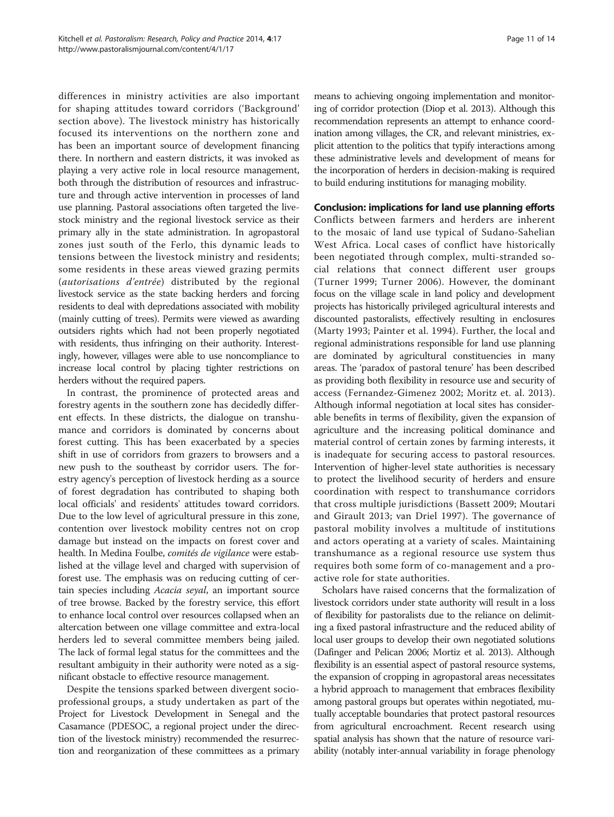differences in ministry activities are also important for shaping attitudes toward corridors ('[Background](#page-0-0)' section above). The livestock ministry has historically focused its interventions on the northern zone and has been an important source of development financing there. In northern and eastern districts, it was invoked as playing a very active role in local resource management, both through the distribution of resources and infrastructure and through active intervention in processes of land use planning. Pastoral associations often targeted the livestock ministry and the regional livestock service as their primary ally in the state administration. In agropastoral zones just south of the Ferlo, this dynamic leads to tensions between the livestock ministry and residents; some residents in these areas viewed grazing permits (autorisations d'entrée) distributed by the regional livestock service as the state backing herders and forcing residents to deal with depredations associated with mobility (mainly cutting of trees). Permits were viewed as awarding outsiders rights which had not been properly negotiated with residents, thus infringing on their authority. Interestingly, however, villages were able to use noncompliance to increase local control by placing tighter restrictions on herders without the required papers.

In contrast, the prominence of protected areas and forestry agents in the southern zone has decidedly different effects. In these districts, the dialogue on transhumance and corridors is dominated by concerns about forest cutting. This has been exacerbated by a species shift in use of corridors from grazers to browsers and a new push to the southeast by corridor users. The forestry agency's perception of livestock herding as a source of forest degradation has contributed to shaping both local officials' and residents' attitudes toward corridors. Due to the low level of agricultural pressure in this zone, contention over livestock mobility centres not on crop damage but instead on the impacts on forest cover and health. In Medina Foulbe, comités de vigilance were established at the village level and charged with supervision of forest use. The emphasis was on reducing cutting of certain species including Acacia seyal, an important source of tree browse. Backed by the forestry service, this effort to enhance local control over resources collapsed when an altercation between one village committee and extra-local herders led to several committee members being jailed. The lack of formal legal status for the committees and the resultant ambiguity in their authority were noted as a significant obstacle to effective resource management.

Despite the tensions sparked between divergent socioprofessional groups, a study undertaken as part of the Project for Livestock Development in Senegal and the Casamance (PDESOC, a regional project under the direction of the livestock ministry) recommended the resurrection and reorganization of these committees as a primary means to achieving ongoing implementation and monitoring of corridor protection (Diop et al. [2013](#page-12-0)). Although this recommendation represents an attempt to enhance coordination among villages, the CR, and relevant ministries, explicit attention to the politics that typify interactions among these administrative levels and development of means for the incorporation of herders in decision-making is required to build enduring institutions for managing mobility.

## Conclusion: implications for land use planning efforts

Conflicts between farmers and herders are inherent to the mosaic of land use typical of Sudano-Sahelian West Africa. Local cases of conflict have historically been negotiated through complex, multi-stranded social relations that connect different user groups (Turner [1999;](#page-13-0) Turner 2006). However, the dominant focus on the village scale in land policy and development projects has historically privileged agricultural interests and discounted pastoralists, effectively resulting in enclosures (Marty [1993;](#page-13-0) Painter et al. [1994](#page-13-0)). Further, the local and regional administrations responsible for land use planning are dominated by agricultural constituencies in many areas. The 'paradox of pastoral tenure' has been described as providing both flexibility in resource use and security of access (Fernandez-Gimenez [2002](#page-12-0); Moritz et. al. [2013](#page-13-0)). Although informal negotiation at local sites has considerable benefits in terms of flexibility, given the expansion of agriculture and the increasing political dominance and material control of certain zones by farming interests, it is inadequate for securing access to pastoral resources. Intervention of higher-level state authorities is necessary to protect the livelihood security of herders and ensure coordination with respect to transhumance corridors that cross multiple jurisdictions (Bassett [2009;](#page-12-0) Moutari and Girault [2013](#page-13-0); van Driel [1997](#page-13-0)). The governance of pastoral mobility involves a multitude of institutions and actors operating at a variety of scales. Maintaining transhumance as a regional resource use system thus requires both some form of co-management and a proactive role for state authorities.

Scholars have raised concerns that the formalization of livestock corridors under state authority will result in a loss of flexibility for pastoralists due to the reliance on delimiting a fixed pastoral infrastructure and the reduced ability of local user groups to develop their own negotiated solutions (Dafinger and Pelican [2006](#page-12-0); Mortiz et al. [2013\)](#page-13-0). Although flexibility is an essential aspect of pastoral resource systems, the expansion of cropping in agropastoral areas necessitates a hybrid approach to management that embraces flexibility among pastoral groups but operates within negotiated, mutually acceptable boundaries that protect pastoral resources from agricultural encroachment. Recent research using spatial analysis has shown that the nature of resource variability (notably inter-annual variability in forage phenology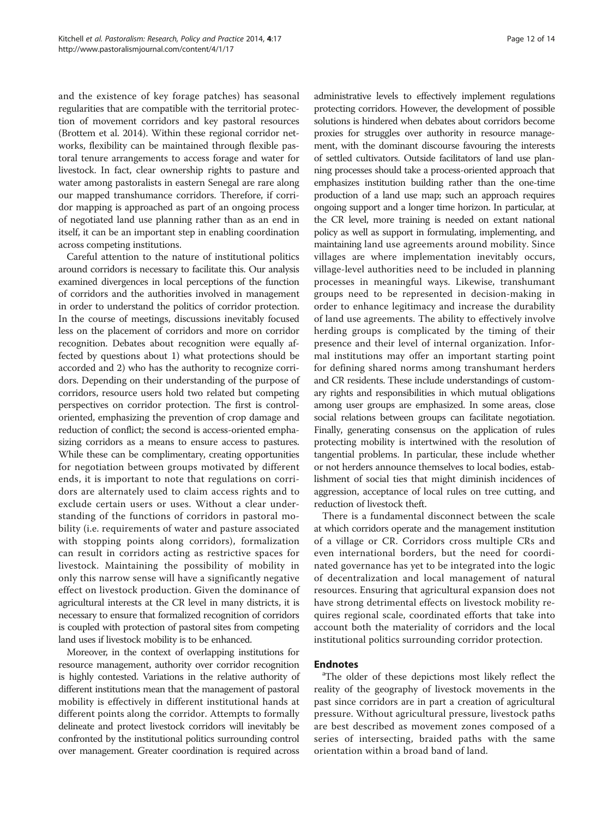and the existence of key forage patches) has seasonal regularities that are compatible with the territorial protection of movement corridors and key pastoral resources (Brottem et al. [2014](#page-12-0)). Within these regional corridor networks, flexibility can be maintained through flexible pastoral tenure arrangements to access forage and water for livestock. In fact, clear ownership rights to pasture and water among pastoralists in eastern Senegal are rare along our mapped transhumance corridors. Therefore, if corridor mapping is approached as part of an ongoing process of negotiated land use planning rather than as an end in itself, it can be an important step in enabling coordination across competing institutions.

Careful attention to the nature of institutional politics around corridors is necessary to facilitate this. Our analysis examined divergences in local perceptions of the function of corridors and the authorities involved in management in order to understand the politics of corridor protection. In the course of meetings, discussions inevitably focused less on the placement of corridors and more on corridor recognition. Debates about recognition were equally affected by questions about 1) what protections should be accorded and 2) who has the authority to recognize corridors. Depending on their understanding of the purpose of corridors, resource users hold two related but competing perspectives on corridor protection. The first is controloriented, emphasizing the prevention of crop damage and reduction of conflict; the second is access-oriented emphasizing corridors as a means to ensure access to pastures. While these can be complimentary, creating opportunities for negotiation between groups motivated by different ends, it is important to note that regulations on corridors are alternately used to claim access rights and to exclude certain users or uses. Without a clear understanding of the functions of corridors in pastoral mobility (i.e. requirements of water and pasture associated with stopping points along corridors), formalization can result in corridors acting as restrictive spaces for livestock. Maintaining the possibility of mobility in only this narrow sense will have a significantly negative effect on livestock production. Given the dominance of agricultural interests at the CR level in many districts, it is necessary to ensure that formalized recognition of corridors is coupled with protection of pastoral sites from competing land uses if livestock mobility is to be enhanced.

Moreover, in the context of overlapping institutions for resource management, authority over corridor recognition is highly contested. Variations in the relative authority of different institutions mean that the management of pastoral mobility is effectively in different institutional hands at different points along the corridor. Attempts to formally delineate and protect livestock corridors will inevitably be confronted by the institutional politics surrounding control over management. Greater coordination is required across

administrative levels to effectively implement regulations protecting corridors. However, the development of possible solutions is hindered when debates about corridors become proxies for struggles over authority in resource management, with the dominant discourse favouring the interests of settled cultivators. Outside facilitators of land use planning processes should take a process-oriented approach that emphasizes institution building rather than the one-time production of a land use map; such an approach requires ongoing support and a longer time horizon. In particular, at the CR level, more training is needed on extant national policy as well as support in formulating, implementing, and maintaining land use agreements around mobility. Since villages are where implementation inevitably occurs, village-level authorities need to be included in planning processes in meaningful ways. Likewise, transhumant groups need to be represented in decision-making in order to enhance legitimacy and increase the durability of land use agreements. The ability to effectively involve herding groups is complicated by the timing of their presence and their level of internal organization. Informal institutions may offer an important starting point for defining shared norms among transhumant herders and CR residents. These include understandings of customary rights and responsibilities in which mutual obligations among user groups are emphasized. In some areas, close social relations between groups can facilitate negotiation. Finally, generating consensus on the application of rules protecting mobility is intertwined with the resolution of tangential problems. In particular, these include whether or not herders announce themselves to local bodies, establishment of social ties that might diminish incidences of aggression, acceptance of local rules on tree cutting, and reduction of livestock theft.

There is a fundamental disconnect between the scale at which corridors operate and the management institution of a village or CR. Corridors cross multiple CRs and even international borders, but the need for coordinated governance has yet to be integrated into the logic of decentralization and local management of natural resources. Ensuring that agricultural expansion does not have strong detrimental effects on livestock mobility requires regional scale, coordinated efforts that take into account both the materiality of corridors and the local institutional politics surrounding corridor protection.

#### **Endnotes**

The older of these depictions most likely reflect the reality of the geography of livestock movements in the past since corridors are in part a creation of agricultural pressure. Without agricultural pressure, livestock paths are best described as movement zones composed of a series of intersecting, braided paths with the same orientation within a broad band of land.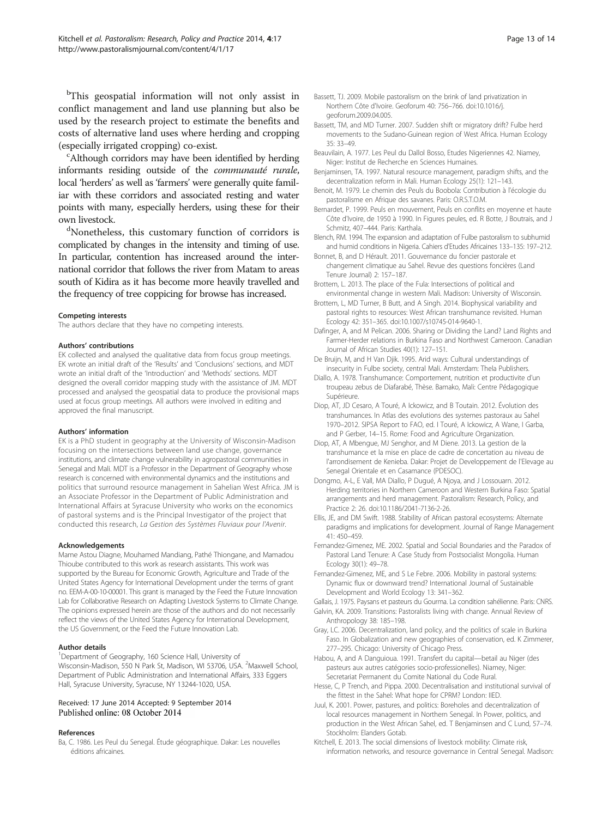<span id="page-12-0"></span>b This geospatial information will not only assist in conflict management and land use planning but also be used by the research project to estimate the benefits and costs of alternative land uses where herding and cropping (especially irrigated cropping) co-exist.

Although corridors may have been identified by herding informants residing outside of the communauté rurale, local 'herders' as well as 'farmers' were generally quite familiar with these corridors and associated resting and water points with many, especially herders, using these for their own livestock.

d Nonetheless, this customary function of corridors is complicated by changes in the intensity and timing of use. In particular, contention has increased around the international corridor that follows the river from Matam to areas south of Kidira as it has become more heavily travelled and the frequency of tree coppicing for browse has increased.

#### Competing interests

The authors declare that they have no competing interests.

#### Authors' contributions

EK collected and analysed the qualitative data from focus group meetings. EK wrote an initial draft of the 'Results' and 'Conclusions' sections, and MDT wrote an initial draft of the 'Introduction' and 'Methods' sections. MDT designed the overall corridor mapping study with the assistance of JM. MDT processed and analysed the geospatial data to produce the provisional maps used at focus group meetings. All authors were involved in editing and approved the final manuscript.

#### Authors' information

EK is a PhD student in geography at the University of Wisconsin-Madison focusing on the intersections between land use change, governance institutions, and climate change vulnerability in agropastoral communities in Senegal and Mali. MDT is a Professor in the Department of Geography whose research is concerned with environmental dynamics and the institutions and politics that surround resource management in Sahelian West Africa. JM is an Associate Professor in the Department of Public Administration and International Affairs at Syracuse University who works on the economics of pastoral systems and is the Principal Investigator of the project that conducted this research, La Gestion des Systèmes Fluviaux pour l'Avenir.

#### Acknowledgements

Mame Astou Diagne, Mouhamed Mandiang, Pathé Thiongane, and Mamadou Thioube contributed to this work as research assistants. This work was supported by the Bureau for Economic Growth, Agriculture and Trade of the United States Agency for International Development under the terms of grant no. EEM-A-00-10-00001. This grant is managed by the Feed the Future Innovation Lab for Collaborative Research on Adapting Livestock Systems to Climate Change. The opinions expressed herein are those of the authors and do not necessarily reflect the views of the United States Agency for International Development, the US Government, or the Feed the Future Innovation Lab.

#### Author details

<sup>1</sup>Department of Geography, 160 Science Hall, University of Wisconsin-Madison, 550 N Park St, Madison, WI 53706, USA. <sup>2</sup>Maxwell School, Department of Public Administration and International Affairs, 333 Eggers Hall, Syracuse University, Syracuse, NY 13244-1020, USA.

#### Received: 17 June 2014 Accepted: 9 September 2014 Published online: 08 October 2014

#### References

Ba, C. 1986. Les Peul du Senegal. Étude géographique. Dakar: Les nouvelles éditions africaines.

- Bassett, TM, and MD Turner. 2007. Sudden shift or migratory drift? Fulbe herd movements to the Sudano-Guinean region of West Africa. Human Ecology 35: 33–49.
- Beauvilain, A. 1977. Les Peul du Dallol Bosso, Etudes Nigeriennes 42. Niamey, Niger: Institut de Recherche en Sciences Humaines.
- Benjaminsen, TA. 1997. Natural resource management, paradigm shifts, and the decentralization reform in Mali. Human Ecology 25(1): 121–143.
- Benoit, M. 1979. Le chemin des Peuls du Boobola: Contribution à l'écologie du pastoralisme en Afrique des savanes. Paris: O.R.S.T.O.M.
- Bernardet, P. 1999. Peuls en mouvement, Peuls en conflits en moyenne et haute Côte d'Ivoire, de 1950 à 1990. In Figures peules, ed. R Botte, J Boutrais, and J Schmitz, 407–444. Paris: Karthala.
- Blench, RM. 1994. The expansion and adaptation of Fulbe pastoralism to subhumid and humid conditions in Nigeria. Cahiers d'Etudes Africaines 133–135: 197–212.
- Bonnet, B, and D Hérault. 2011. Gouvernance du foncier pastorale et changement climatique au Sahel. Revue des questions foncières (Land
- Tenure Journal) 2: 157–187. Brottem, L. 2013. The place of the Fula: Intersections of political and
- environmental change in western Mali. Madison: University of Wisconsin. Brottem, L, MD Turner, B Butt, and A Singh. 2014. Biophysical variability and
- pastoral rights to resources: West African transhumance revisited. Human Ecology 42: 351–365. doi:10.1007/s10745-014-9640-1.
- Dafinger, A, and M Pelican. 2006. Sharing or Dividing the Land? Land Rights and Farmer-Herder relations in Burkina Faso and Northwest Cameroon. Canadian Journal of African Studies 40(1): 127–151.
- De Bruijn, M, and H Van Djik. 1995. Arid ways: Cultural understandings of insecurity in Fulbe society, central Mali. Amsterdam: Thela Publishers.
- Diallo, A. 1978. Transhumance: Comportement, nutrition et productivite d'un troupeau zebus de Diafarabé, Thèse. Bamako, Mali: Centre Pédagogique Supérieure.
- Diop, AT, JD Cesaro, A Touré, A Ickowicz, and B Toutain. 2012. Évolution des transhumances. In Atlas des evolutions des systemes pastoraux au Sahel 1970–2012. SIPSA Report to FAO, ed. I Touré, A Ickowicz, A Wane, I Garba, and P Gerber, 14–15. Rome: Food and Agriculture Organization.
- Diop, AT, A Mbengue, MJ Senghor, and M Diene. 2013. La gestion de la transhumance et la mise en place de cadre de concertation au niveau de l'arrondisement de Kenieba. Dakar: Projet de Developpement de l'Elevage au Senegal Orientale et en Casamance (PDESOC).
- Dongmo, A-L, E Vall, MA Diallo, P Dugué, A Njoya, and J Lossouarn. 2012. Herding territories in Northern Cameroon and Western Burkina Faso: Spatial arrangements and herd management. Pastoralism: Research, Policy, and Practice 2: 26. doi:10.1186/2041-7136-2-26.
- Ellis, JE, and DM Swift. 1988. Stability of African pastoral ecosystems: Alternate paradigms and implications for development. Journal of Range Management 41: 450–459.
- Fernandez-Gimenez, ME. 2002. Spatial and Social Boundaries and the Paradox of Pastoral Land Tenure: A Case Study from Postsocialist Mongolia. Human Ecology 30(1): 49–78.
- Fernandez-Gimenez, ME, and S Le Febre. 2006. Mobility in pastoral systems: Dynamic flux or downward trend? International Journal of Sustainable Development and World Ecology 13: 341–362.

Gallais, J. 1975. Paysans et pasteurs du Gourma. La condition sahélienne. Paris: CNRS. Galvin, KA. 2009. Transitions: Pastoralists living with change. Annual Review of Anthropology 38: 185–198.

- Gray, LC. 2006. Decentralization, land policy, and the politics of scale in Burkina Faso. In Globalization and new geographies of conservation, ed. K Zimmerer, 277–295. Chicago: University of Chicago Press.
- Habou, A, and A Danguioua. 1991. Transfert du capital—betail au Niger (des pasteurs aux autres catégories socio-professionelles). Niamey, Niger: Secretariat Permanent du Comite National du Code Rural.
- Hesse, C, P Trench, and Pippa. 2000. Decentralisation and institutional survival of the fittest in the Sahel: What hope for CPRM? London: IIED.
- Juul, K. 2001. Power, pastures, and politics: Boreholes and decentralization of local resources management in Northern Senegal. In Power, politics, and production in the West African Sahel, ed. T Benjaminsen and C Lund, 57–74. Stockholm: Elanders Gotab.
- Kitchell, E. 2013. The social dimensions of livestock mobility: Climate risk, information networks, and resource governance in Central Senegal. Madison: